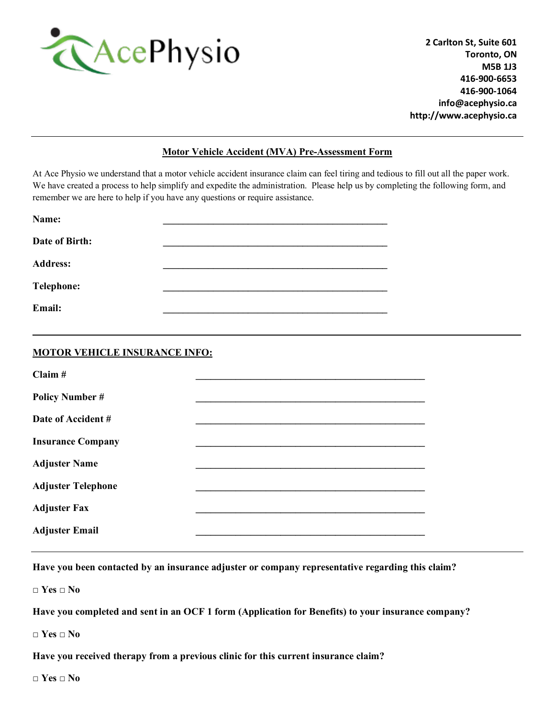

**2 Carlton St, Suite 601 Toronto, ON M5B 1J3 416-900-6653 416-900-1064 info@acephysio.ca http://www.acephysio.ca**

## **Motor Vehicle Accident (MVA) Pre-Assessment Form**

At Ace Physio we understand that a motor vehicle accident insurance claim can feel tiring and tedious to fill out all the paper work. We have created a process to help simplify and expedite the administration. Please help us by completing the following form, and remember we are here to help if you have any questions or require assistance.

**\_\_\_\_\_\_\_\_\_\_\_\_\_\_\_\_\_\_\_\_\_\_\_\_\_\_\_\_\_\_\_\_\_\_\_\_\_\_\_\_\_\_\_\_\_\_\_\_\_\_\_\_\_\_\_\_\_\_\_\_\_\_\_\_\_\_\_\_\_\_\_\_\_\_\_\_\_\_\_\_\_\_\_\_\_\_\_\_\_\_\_\_\_\_\_\_\_\_**

| Name:             |  |
|-------------------|--|
| Date of Birth:    |  |
| <b>Address:</b>   |  |
| <b>Telephone:</b> |  |
| Email:            |  |

## **MOTOR VEHICLE INSURANCE INFO:**

| Claim #                   |  |
|---------------------------|--|
| <b>Policy Number #</b>    |  |
| Date of Accident #        |  |
| <b>Insurance Company</b>  |  |
| <b>Adjuster Name</b>      |  |
| <b>Adjuster Telephone</b> |  |
| <b>Adjuster Fax</b>       |  |
| <b>Adjuster Email</b>     |  |

**Have you been contacted by an insurance adjuster or company representative regarding this claim?**

**□ Yes □ No**

**Have you completed and sent in an OCF 1 form (Application for Benefits) to your insurance company?** 

**□ Yes □ No**

**Have you received therapy from a previous clinic for this current insurance claim?**

**□ Yes □ No**